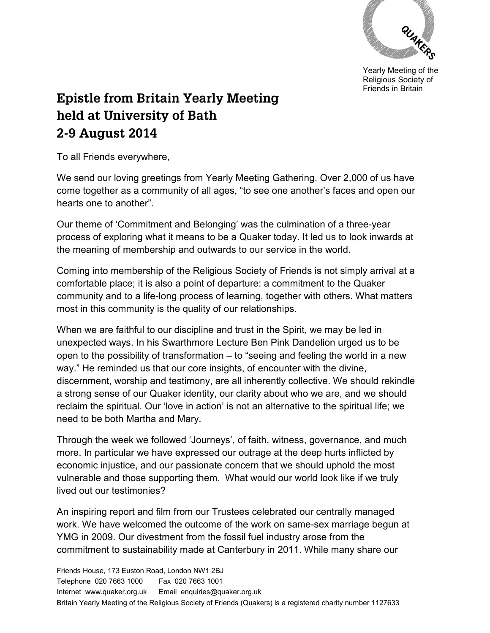

Yearly Meeting of the Religious Society of Friends in Britain

## **Epistle from Britain Yearly Meeting held at University of Bath 2-9 August 2014**

To all Friends everywhere,

We send our loving greetings from Yearly Meeting Gathering. Over 2,000 of us have come together as a community of all ages, "to see one another's faces and open our hearts one to another".

Our theme of 'Commitment and Belonging' was the culmination of a three-year process of exploring what it means to be a Quaker today. It led us to look inwards at the meaning of membership and outwards to our service in the world.

Coming into membership of the Religious Society of Friends is not simply arrival at a comfortable place; it is also a point of departure: a commitment to the Quaker community and to a life-long process of learning, together with others. What matters most in this community is the quality of our relationships.

When we are faithful to our discipline and trust in the Spirit, we may be led in unexpected ways. In his Swarthmore Lecture Ben Pink Dandelion urged us to be open to the possibility of transformation – to "seeing and feeling the world in a new way." He reminded us that our core insights, of encounter with the divine, discernment, worship and testimony, are all inherently collective. We should rekindle a strong sense of our Quaker identity, our clarity about who we are, and we should reclaim the spiritual. Our 'love in action' is not an alternative to the spiritual life; we need to be both Martha and Mary.

Through the week we followed 'Journeys', of faith, witness, governance, and much more. In particular we have expressed our outrage at the deep hurts inflicted by economic injustice, and our passionate concern that we should uphold the most vulnerable and those supporting them. What would our world look like if we truly lived out our testimonies?

An inspiring report and film from our Trustees celebrated our centrally managed work. We have welcomed the outcome of the work on same-sex marriage begun at YMG in 2009. Our divestment from the fossil fuel industry arose from the commitment to sustainability made at Canterbury in 2011. While many share our